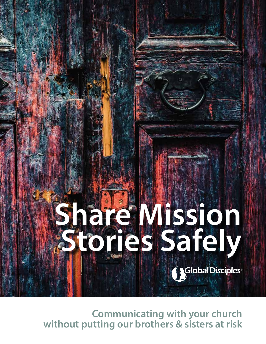

**Communicating with your church without putting our brothers & sisters at risk**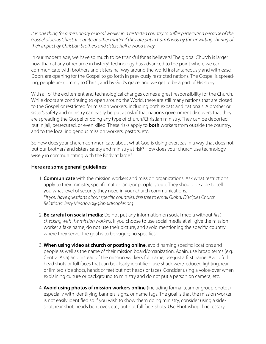*It is one thing for a missionary or local worker in a restricted country to suffer persecution because of the Gospel of Jesus Christ. It is quite another matter if they are put in harm's way by the unwitting sharing of their impact by Christian brothers and sisters half a world away.*

In our modern age, we have so much to be thankful for as believers! The global Church is larger now than at any other time in history! Technology has advanced to the point where we can communicate with brothers and sisters halfway around the world instantaneously and with ease. Doors are opening for the Gospel to go forth in previously restricted nations. The Gospel is spreading, people are coming to Christ, and by God's grace, and we get to be a part of His story!

With all of the excitement and technological changes comes a great responsibility for the Church. While doors are continuing to open around the World, there are still many nations that are closed to the Gospel or restricted for mission workers, including both expats and nationals. A brother or sister's safety and ministry can easily be put at risk if that nation's government discovers that they are spreading the Gospel or doing any type of church/Christian ministry. They can be deported, put in jail, persecuted, or even killed. These risks apply to **both** workers from outside the country, and to the local indigenous mission workers, pastors, etc.

So how does your church communicate about what God is doing overseas in a way that does not put our brothers' and sisters' safety and ministry at risk? How does your church use technology wisely in communicating with the Body at large?

## **Here are some general guidelines:**

- 1. **Communicate** with the mission workers and mission organizations. Ask what restrictions apply to their ministry, specific nation and/or people group. They should be able to tell you what level of security they need in your church communications. *\*If you have questions about specific countries, feel free to email Global Disciples Church Relations: Jerry.Meadows@globaldisciples.org*
- 2. **Be careful on social media:** Do not put any information on social media without *first checking with the mission workers*. If you choose to use social media at all, give the mission worker a fake name, do not use their picture, and avoid mentioning the specific country where they serve. The goal is to be vague; no specifics!
- 3. **When using video at church or posting online,** avoid naming specific locations and people as well as the name of their mission board/organization. Again, use broad terms (e.g. Central Asia) and instead of the mission worker's full name, use just a first name. Avoid full head shots or full faces that can be clearly identified; use shadowed/reduced lighting, rear or limited side shots, hands or feet but not heads or faces. Consider using a voice-over when explaining culture or background to ministry and do not put a person on camera, etc.
- 4. **Avoid using photos of mission workers online** (including formal team or group photos) especially with identifying banners, signs, or name tags. The goal is that the mission worker is not easily identified so if you wish to show them doing ministry, consider using a sideshot, rear-shot, heads bent over, etc., but not full face-shots. Use Photoshop if necessary.